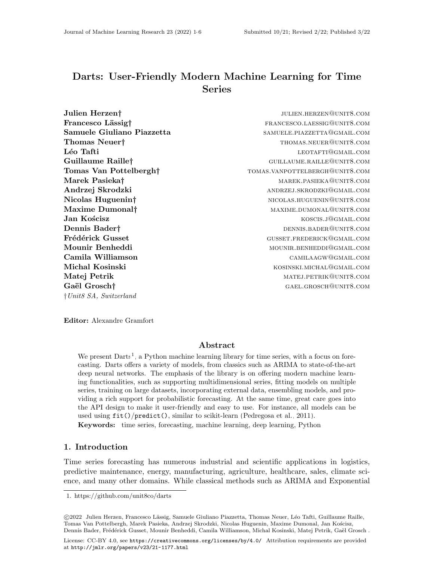# Darts: User-Friendly Modern Machine Learning for Time Series

| Julien Herzen†                   | JULIEN.HERZEN@UNIT8.COM        |
|----------------------------------|--------------------------------|
| Francesco Lässigt                | FRANCESCO.LAESSIG@UNIT8.COM    |
| Samuele Giuliano Piazzetta       | SAMUELE.PIAZZETTA@GMAIL.COM    |
| Thomas Neuer <sup>†</sup>        | THOMAS.NEUER@UNIT8.COM         |
| Léo Tafti                        | LEOTAFTI@GMAIL.COM             |
| Guillaume Raille†                | GUILLAUME.RAILLE@UNIT8.COM     |
| Tomas Van Pottelbergh†           | TOMAS.VANPOTTELBERGH@UNIT8.COM |
| Marek Pasieka†                   | MAREK.PASIEKA@UNIT8.COM        |
| Andrzej Skrodzki                 | ANDRZEJ.SKRODZKI@GMAIL.COM     |
| Nicolas Huguenin <sup>†</sup>    | NICOLAS.HUGUENIN@UNIT8.COM     |
| Maxime Dumonal <sup>†</sup>      | MAXIME.DUMONAL@UNIT8.COM       |
| Jan Kościsz                      | KOSCIS.J@GMAIL.COM             |
| Dennis Bader†                    | DENNIS.BADER@UNIT8.COM         |
| Frédérick Gusset                 | GUSSET.FREDERICK@GMAIL.COM     |
| Mounir Benheddi                  | MOUNIR.BENHEDDI@GMAIL.COM      |
| Camila Williamson                | CAMILAAGW@GMAIL.COM            |
| Michal Kosinski                  | KOSINSKI.MICHAL@GMAIL.COM      |
| Matej Petrik                     | MATEJ.PETRIK@UNIT8.COM         |
| Gaël Grosch†                     | GAEL.GROSCH@UNIT8.COM          |
| $\dagger Unit8\ SA, Switzerland$ |                                |

Editor: Alexandre Gramfort

# Abstract

We present  $Darts<sup>1</sup>$  $Darts<sup>1</sup>$  $Darts<sup>1</sup>$ , a Python machine learning library for time series, with a focus on forecasting. Darts offers a variety of models, from classics such as ARIMA to state-of-the-art deep neural networks. The emphasis of the library is on offering modern machine learning functionalities, such as supporting multidimensional series, fitting models on multiple series, training on large datasets, incorporating external data, ensembling models, and providing a rich support for probabilistic forecasting. At the same time, great care goes into the API design to make it user-friendly and easy to use. For instance, all models can be used using fit()/predict(), similar to scikit-learn [\(Pedregosa et al., 2011\)](#page-5-1).

Keywords: time series, forecasting, machine learning, deep learning, Python

# 1. Introduction

Time series forecasting has numerous industrial and scientific applications in logistics, predictive maintenance, energy, manufacturing, agriculture, healthcare, sales, climate science, and many other domains. While classical methods such as ARIMA and Exponential

 c 2022 Julien Herzen, Francesco L¨assig, Samuele Giuliano Piazzetta, Thomas Neuer, L´eo Tafti, Guillaume Raille, Tomas Van Pottelbergh, Marek Pasieka, Andrzej Skrodzki, Nicolas Huguenin, Maxime Dumonal, Jan Kościsz, Dennis Bader, Frédérick Gusset, Mounir Benheddi, Camila Williamson, Michal Kosinski, Matej Petrik, Gaël Grosch.

<span id="page-0-0"></span><sup>1.</sup><https://github.com/unit8co/darts>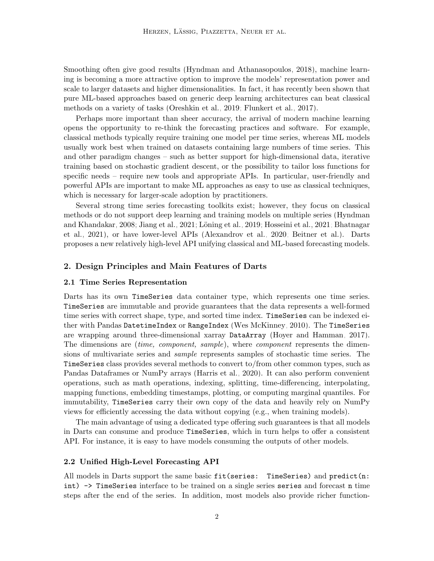Smoothing often give good results [\(Hyndman and Athanasopoulos, 2018\)](#page-4-0), machine learning is becoming a more attractive option to improve the models' representation power and scale to larger datasets and higher dimensionalities. In fact, it has recently been shown that pure ML-based approaches based on generic deep learning architectures can beat classical methods on a variety of tasks [\(Oreshkin et al., 2019;](#page-5-2) [Flunkert et al., 2017\)](#page-4-1).

Perhaps more important than sheer accuracy, the arrival of modern machine learning opens the opportunity to re-think the forecasting practices and software. For example, classical methods typically require training one model per time series, whereas ML models usually work best when trained on datasets containing large numbers of time series. This and other paradigm changes – such as better support for high-dimensional data, iterative training based on stochastic gradient descent, or the possibility to tailor loss functions for specific needs – require new tools and appropriate APIs. In particular, user-friendly and powerful APIs are important to make ML approaches as easy to use as classical techniques, which is necessary for larger-scale adoption by practitioners.

Several strong time series forecasting toolkits exist; however, they focus on classical methods or do not support deep learning and training models on multiple series [\(Hyndman](#page-5-3) [and Khandakar, 2008;](#page-5-3) [Jiang et al., 2021;](#page-5-4) Löning et al., 2019; [Hosseini et al., 2021;](#page-4-2) [Bhatnagar](#page-4-3) [et al., 2021\)](#page-4-3), or have lower-level APIs [\(Alexandrov et al., 2020;](#page-4-4) [Beitner et al.\)](#page-4-5). Darts proposes a new relatively high-level API unifying classical and ML-based forecasting models.

## 2. Design Principles and Main Features of Darts

#### 2.1 Time Series Representation

Darts has its own TimeSeries data container type, which represents one time series. TimeSeries are immutable and provide guarantees that the data represents a well-formed time series with correct shape, type, and sorted time index. TimeSeries can be indexed either with Pandas DatetimeIndex or RangeIndex [\(Wes McKinney, 2010\)](#page-5-6). The TimeSeries are wrapping around three-dimensional xarray DataArray [\(Hoyer and Hamman, 2017\)](#page-4-6). The dimensions are *(time, component, sample)*, where *component* represents the dimensions of multivariate series and sample represents samples of stochastic time series. The TimeSeries class provides several methods to convert to/from other common types, such as Pandas Dataframes or NumPy arrays [\(Harris et al., 2020\)](#page-4-7). It can also perform convenient operations, such as math operations, indexing, splitting, time-differencing, interpolating, mapping functions, embedding timestamps, plotting, or computing marginal quantiles. For immutability, TimeSeries carry their own copy of the data and heavily rely on NumPy views for efficiently accessing the data without copying (e.g., when training models).

The main advantage of using a dedicated type offering such guarantees is that all models in Darts can consume and produce TimeSeries, which in turn helps to offer a consistent API. For instance, it is easy to have models consuming the outputs of other models.

#### 2.2 Unified High-Level Forecasting API

All models in Darts support the same basic fit(series: TimeSeries) and predict(n: int) -> TimeSeries interface to be trained on a single series series and forecast n time steps after the end of the series. In addition, most models also provide richer function-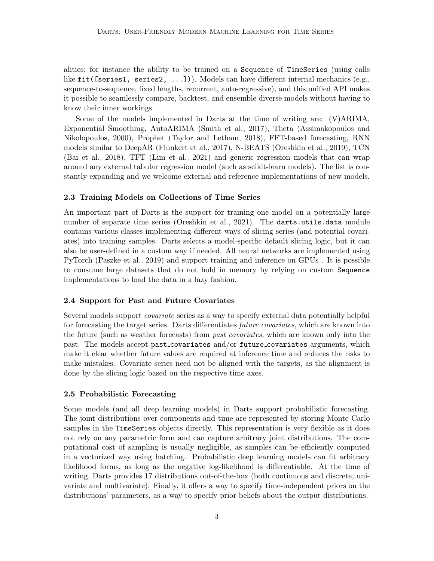alities; for instance the ability to be trained on a Sequence of TimeSeries (using calls like fit([series1, series2, ...])). Models can have different internal mechanics (e.g., sequence-to-sequence, fixed lengths, recurrent, auto-regressive), and this unified API makes it possible to seamlessly compare, backtest, and ensemble diverse models without having to know their inner workings.

Some of the models implemented in Darts at the time of writing are: (V)ARIMA, Exponential Smoothing, AutoARIMA [\(Smith et al., 2017\)](#page-5-7), Theta [\(Assimakopoulos and](#page-4-8) [Nikolopoulos, 2000\)](#page-4-8), Prophet [\(Taylor and Letham, 2018\)](#page-5-8), FFT-based forecasting, RNN models similar to DeepAR [\(Flunkert et al., 2017\)](#page-4-1), N-BEATS [\(Oreshkin et al., 2019\)](#page-5-2), TCN [\(Bai et al., 2018\)](#page-4-9), TFT [\(Lim et al., 2021\)](#page-5-9) and generic regression models that can wrap around any external tabular regression model (such as scikit-learn models). The list is constantly expanding and we welcome external and reference implementations of new models.

#### 2.3 Training Models on Collections of Time Series

An important part of Darts is the support for training one model on a potentially large number of separate time series [\(Oreshkin et al., 2021\)](#page-5-10). The darts.utils.data module contains various classes implementing different ways of slicing series (and potential covariates) into training samples. Darts selects a model-specific default slicing logic, but it can also be user-defined in a custom way if needed. All neural networks are implemented using PyTorch [\(Paszke et al., 2019\)](#page-5-11) and support training and inference on GPUs . It is possible to consume large datasets that do not hold in memory by relying on custom Sequence implementations to load the data in a lazy fashion.

#### 2.4 Support for Past and Future Covariates

Several models support *covariate* series as a way to specify external data potentially helpful for forecasting the target series. Darts differentiates *future covariates*, which are known into the future (such as weather forecasts) from past covariates, which are known only into the past. The models accept past covariates and/or future covariates arguments, which make it clear whether future values are required at inference time and reduces the risks to make mistakes. Covariate series need not be aligned with the targets, as the alignment is done by the slicing logic based on the respective time axes.

#### 2.5 Probabilistic Forecasting

Some models (and all deep learning models) in Darts support probabilistic forecasting. The joint distributions over components and time are represented by storing Monte Carlo samples in the TimeSeries objects directly. This representation is very flexible as it does not rely on any parametric form and can capture arbitrary joint distributions. The computational cost of sampling is usually negligible, as samples can be efficiently computed in a vectorized way using batching. Probabilistic deep learning models can fit arbitrary likelihood forms, as long as the negative log-likelihood is differentiable. At the time of writing, Darts provides 17 distributions out-of-the-box (both continuous and discrete, univariate and multivariate). Finally, it offers a way to specify time-independent priors on the distributions' parameters, as a way to specify prior beliefs about the output distributions.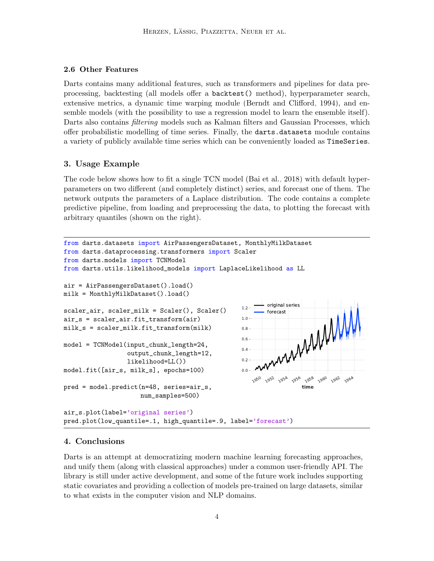#### 2.6 Other Features

Darts contains many additional features, such as transformers and pipelines for data preprocessing, backtesting (all models offer a backtest() method), hyperparameter search, extensive metrics, a dynamic time warping module [\(Berndt and Clifford, 1994\)](#page-4-10), and ensemble models (with the possibility to use a regression model to learn the ensemble itself). Darts also contains *filtering* models such as Kalman filters and Gaussian Processes, which offer probabilistic modelling of time series. Finally, the darts.datasets module contains a variety of publicly available time series which can be conveniently loaded as TimeSeries.

## 3. Usage Example

The code below shows how to fit a single TCN model [\(Bai et al., 2018\)](#page-4-9) with default hyperparameters on two different (and completely distinct) series, and forecast one of them. The network outputs the parameters of a Laplace distribution. The code contains a complete predictive pipeline, from loading and preprocessing the data, to plotting the forecast with arbitrary quantiles (shown on the right).

```
1950
                                                           1952
                                                               195<sup>4</sup>
                                                                  195<sup>6</sup> 1958
                                                                          1960 1962 1964
                                                                     time
                                                    0.0 -0.2
                                                    0.4
                                                    0.6
                                                    0.8
                                                    1.0
                                                           original series<br>forecast
                                                            wwwwww
from darts.datasets import AirPassengersDataset, MonthlyMilkDataset
from darts.dataprocessing.transformers import Scaler
from darts.models import TCNModel
from darts.utils.likelihood_models import LaplaceLikelihood as LL
air = AirPassengersDataset().load()
milk = MonthlyMilkDataset().load()
scaler_air, scaler_milk = Scaler(), Scaler()
air_s = scaler_air.fit_transform(air)
milk_s = scaler_milk.fit_transform(milk)
model = TCNModel(input_chunk_length=24,
                  output_chunk_length=12,
                  likelihood=LL())
model.fit([air_s, milk_s], epochs=100)
pred = model.predict(n=48, series=air_s,
                      num_samples=500)
air_s.plot(label='original series')
pred.plot(low_quantile=.1, high_quantile=.9, label='forecast')
```
#### 4. Conclusions

Darts is an attempt at democratizing modern machine learning forecasting approaches, and unify them (along with classical approaches) under a common user-friendly API. The library is still under active development, and some of the future work includes supporting static covariates and providing a collection of models pre-trained on large datasets, similar to what exists in the computer vision and NLP domains.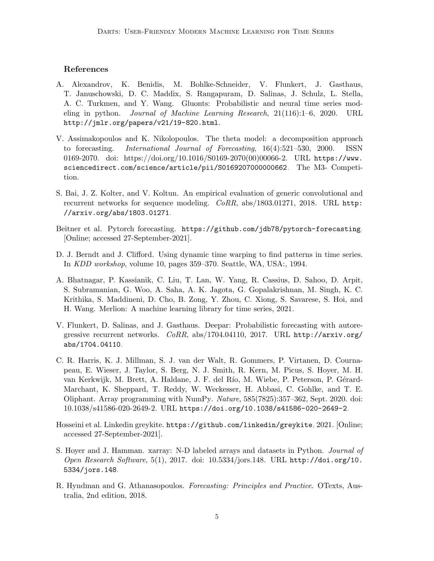## References

- <span id="page-4-4"></span>A. Alexandrov, K. Benidis, M. Bohlke-Schneider, V. Flunkert, J. Gasthaus, T. Januschowski, D. C. Maddix, S. Rangapuram, D. Salinas, J. Schulz, L. Stella, A. C. Turkmen, and Y. Wang. Gluonts: Probabilistic and neural time series modeling in python. Journal of Machine Learning Research, 21(116):1–6, 2020. URL <http://jmlr.org/papers/v21/19-820.html>.
- <span id="page-4-8"></span>V. Assimakopoulos and K. Nikolopoulos. The theta model: a decomposition approach to forecasting. International Journal of Forecasting, 16(4):521–530, 2000. ISSN 0169-2070. doi: https://doi.org/10.1016/S0169-2070(00)00066-2. URL [https://www.](https://www.sciencedirect.com/science/article/pii/S0169207000000662) [sciencedirect.com/science/article/pii/S0169207000000662](https://www.sciencedirect.com/science/article/pii/S0169207000000662). The M3- Competition.
- <span id="page-4-9"></span>S. Bai, J. Z. Kolter, and V. Koltun. An empirical evaluation of generic convolutional and recurrent networks for sequence modeling.  $CoRR$ , abs/1803.01271, 2018. URL [http:](http://arxiv.org/abs/1803.01271) [//arxiv.org/abs/1803.01271](http://arxiv.org/abs/1803.01271).
- <span id="page-4-5"></span>Beitner et al. Pytorch forecasting. <https://github.com/jdb78/pytorch-forecasting>. [Online; accessed 27-September-2021].
- <span id="page-4-10"></span>D. J. Berndt and J. Clifford. Using dynamic time warping to find patterns in time series. In KDD workshop, volume 10, pages 359–370. Seattle, WA, USA:, 1994.
- <span id="page-4-3"></span>A. Bhatnagar, P. Kassianik, C. Liu, T. Lan, W. Yang, R. Cassius, D. Sahoo, D. Arpit, S. Subramanian, G. Woo, A. Saha, A. K. Jagota, G. Gopalakrishnan, M. Singh, K. C. Krithika, S. Maddineni, D. Cho, B. Zong, Y. Zhou, C. Xiong, S. Savarese, S. Hoi, and H. Wang. Merlion: A machine learning library for time series, 2021.
- <span id="page-4-1"></span>V. Flunkert, D. Salinas, and J. Gasthaus. Deepar: Probabilistic forecasting with autoregressive recurrent networks. CoRR, abs/1704.04110, 2017. URL [http://arxiv.org/](http://arxiv.org/abs/1704.04110) [abs/1704.04110](http://arxiv.org/abs/1704.04110).
- <span id="page-4-7"></span>C. R. Harris, K. J. Millman, S. J. van der Walt, R. Gommers, P. Virtanen, D. Cournapeau, E. Wieser, J. Taylor, S. Berg, N. J. Smith, R. Kern, M. Picus, S. Hoyer, M. H. van Kerkwijk, M. Brett, A. Haldane, J. F. del Río, M. Wiebe, P. Peterson, P. Gérard-Marchant, K. Sheppard, T. Reddy, W. Weckesser, H. Abbasi, C. Gohlke, and T. E. Oliphant. Array programming with NumPy. Nature, 585(7825):357–362, Sept. 2020. doi: 10.1038/s41586-020-2649-2. URL <https://doi.org/10.1038/s41586-020-2649-2>.
- <span id="page-4-2"></span>Hosseini et al. Linkedin greykite. <https://github.com/linkedin/greykite>, 2021. [Online; accessed 27-September-2021].
- <span id="page-4-6"></span>S. Hoyer and J. Hamman. xarray: N-D labeled arrays and datasets in Python. Journal of Open Research Software, 5(1), 2017. doi: 10.5334/jors.148. URL [http://doi.org/10.](http://doi.org/10.5334/jors.148) [5334/jors.148](http://doi.org/10.5334/jors.148).
- <span id="page-4-0"></span>R. Hyndman and G. Athanasopoulos. Forecasting: Principles and Practice. OTexts, Australia, 2nd edition, 2018.